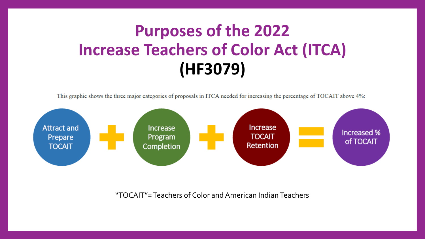# **Purposes of the 2022 Increase Teachers of Color Act (ITCA) (HF3079)**

This graphic shows the three major categories of proposals in ITCA needed for increasing the percentage of TOCAIT above 4%:



"TOCAIT"= Teachers of Color and American Indian Teachers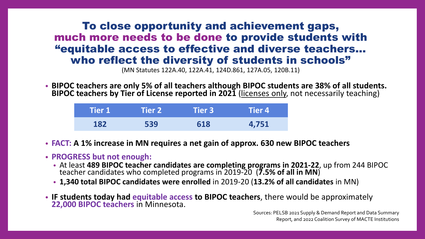## To close opportunity and achievement gaps, much more needs to be done to provide students with "equitable access to effective and diverse teachers… who reflect the diversity of students in schools"

(MN Statutes 122A.40, 122A.41, 124D.861, 127A.05, 120B.11)

• **BIPOC teachers are only 5% of all teachers although BIPOC students are 38% of all students. BIPOC teachers by Tier of License reported in 2021** (licenses only, not necessarily teaching)

| $\blacksquare$ Tier 1 $\blacksquare$ | <b>Tier 2N</b> | <b>Tier 3</b> | \Tier 4\ |
|--------------------------------------|----------------|---------------|----------|
| 182                                  | 539            | 618           | 4,751    |

- **FACT: A 1% increase in MN requires a net gain of approx. 630 new BIPOC teachers**
- **PROGRESS but not enough:** 
	- At least **489 BIPOC teacher candidates are completing programs in 2021-22**, up from 244 BIPOC teacher candidates who completed programs in 2019-20 (**7.5% of all in MN**)
	- **1,340 total BIPOC candidates were enrolled** in 2019-20 (**13.2% of all candidates** in MN)
- **IF students today had equitable access to BIPOC teachers**, there would be approximately **22,000 BIPOC teachers** in Minnesota.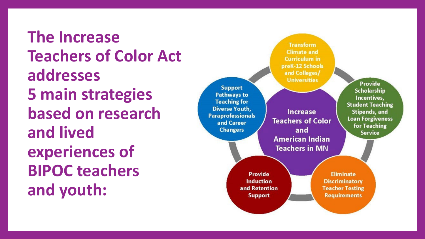**The Increase Teachers of Color Act addresses 5 main strategies based on research and lived experiences of BIPOC teachers and youth:**

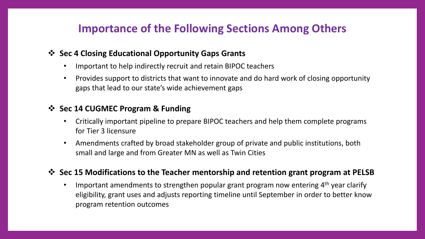## **Importance of the Following Sections Among Others**

#### **Sec 4 Closing Educational Opportunity Gaps Grants**

- Important to help indirectly recruit and retain BIPOC teachers
- Provides support to districts that want to innovate and do hard work of closing opportunity gaps that lead to our state's wide achievement gaps

#### **Sec 14 CUGMEC Program & Funding**

- Critically important pipeline to prepare BIPOC teachers and help them complete programs for Tier 3 licensure
- Amendments crafted by broad stakeholder group of private and public institutions, both small and large and from Greater MN as well as Twin Cities

#### **Sec 15 Modifications to the Teacher mentorship and retention grant program at PELSB**

• Important amendments to strengthen popular grant program now entering 4<sup>th</sup> year clarify eligibility, grant uses and adjusts reporting timeline until September in order to better know program retention outcomes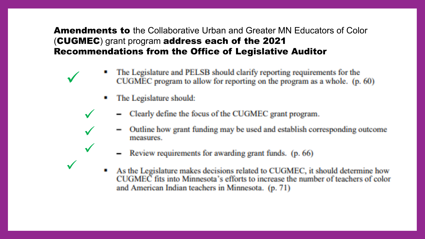### **Amendments to** the Collaborative Urban and Greater MN Educators of Color (CUGMEC) grant program address each of the 2021 Recommendations from the Office of Legislative Auditor

- The Legislature and PELSB should clarify reporting requirements for the CUGMEC program to allow for reporting on the program as a whole. (p. 60)
	- The Legislature should:

 $\checkmark$ 

 $\checkmark$ 

 $\checkmark$ 

 $\checkmark$ 

 $\checkmark$ 

- Clearly define the focus of the CUGMEC grant program.
- Outline how grant funding may be used and establish corresponding outcome measures.
- Review requirements for awarding grant funds. (p. 66)
- As the Legislature makes decisions related to CUGMEC, it should determine how CUGMEC fits into Minnesota's efforts to increase the number of teachers of color and American Indian teachers in Minnesota. (p. 71)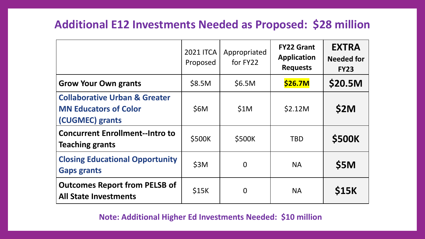## **Additional E12 Investments Needed as Proposed: \$28 million**

|                                                                                             | <b>2021 ITCA</b><br>Proposed | Appropriated<br>for FY22 | <b>FY22 Grant</b><br><b>Application</b><br><b>Requests</b> | <b>EXTRA</b><br><b>Needed for</b><br><b>FY23</b> |
|---------------------------------------------------------------------------------------------|------------------------------|--------------------------|------------------------------------------------------------|--------------------------------------------------|
| <b>Grow Your Own grants</b>                                                                 | \$8.5M                       | \$6.5M                   | \$26.7M                                                    | \$20.5M                                          |
| <b>Collaborative Urban &amp; Greater</b><br><b>MN Educators of Color</b><br>(CUGMEC) grants | \$6M                         | \$1M                     | \$2.12M                                                    | \$2M                                             |
| <b>Concurrent Enrollment--Intro to</b><br><b>Teaching grants</b>                            | \$500K                       | \$500K                   | <b>TBD</b>                                                 | <b>\$500K</b>                                    |
| <b>Closing Educational Opportunity</b><br><b>Gaps grants</b>                                | \$3M                         | $\Omega$                 | <b>NA</b>                                                  | <b>\$5M</b>                                      |
| <b>Outcomes Report from PELSB of</b><br><b>All State Investments</b>                        | \$15K                        | $\Omega$                 | <b>NA</b>                                                  | <b>\$15K</b>                                     |

**Note: Additional Higher Ed Investments Needed: \$10 million**